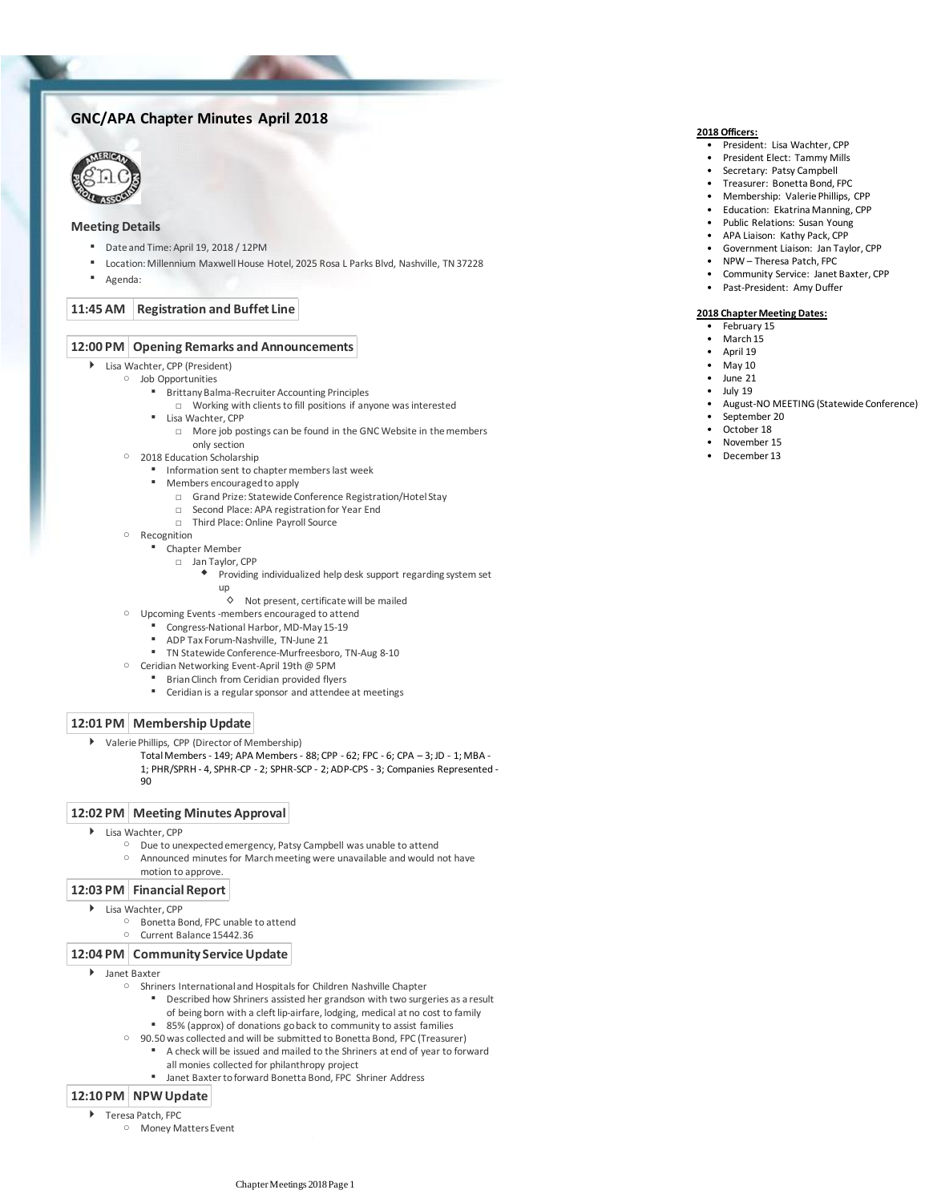## **GNC/APA Chapter Minutes April 2018**



#### **Meeting Details**

- Date and Time: April 19, 2018 / 12PM
- Location: Millennium Maxwell House Hotel, 2025 Rosa L Parks Blvd, Nashville, TN 37228
- Agenda:

#### **11:45 AM Registration and Buffet Line**

### **12:00 PM Opening Remarks and Announcements**

- Lisa Wachter, CPP (President)
	- Job Opportunities
		- **Brittany Balma-Recruiter Accounting Principles** 
			- □ Working with clients to fill positions if anyone was interested
			- Lisa Wachter, CPP
				- □ More job postings can be found in the GNC Website in the members only section
		- 2018 Education Scholarship
			- **■** Information sent to chapter members last week
			- Members encouraged to apply
				- □ Grand Prize: Statewide Conference Registration/Hotel Stay
				- □ Second Place: APA registration for Year End
				- □ Third Place: Online Payroll Source
		- Recognition
			- Chapter Member
				- □ Jan Taylor, CPP
					- Providing individualized help desk support regarding system set up ٠
						-
						- ◊ Not present, certificate will be mailed
		- Upcoming Events -members encouraged to attend
			- Congress-National Harbor, MD-May 15-19
			- ADP Tax Forum-Nashville, TN-June 21
			- TN Statewide Conference-Murfreesboro, TN-Aug 8-10
		- Ceridian Networking Event-April 19th @ 5PM
			-
			-

### **12:01 PM Membership Update**

- Valerie Phillips, CPP (Director of Membership)
	- Total Members 149; APA Members 88; CPP 62; FPC 6; CPA 3; JD 1; MBA 1; PHR/SPRH - 4, SPHR-CP - 2; SPHR-SCP - 2; ADP-CPS - 3; Companies Represented -  $90$

#### **12:02 PM Meeting Minutes Approval**

- Lisa Wachter, CPP
	- Due to unexpected emergency, Patsy Campbell was unable to attend
	- Announced minutes for March meeting were unavailable and would not have motion to approve.  $\circ$

#### **12:03 PM Financial Report**

- ▶ Lisa Wachter, CPP
	- Bonetta Bond, FPC unable to attend
	- Current Balance 15442.36

#### **12:04 PM Community Service Update**

- Janet Baxter
	- Shriners International and Hospitals for Children Nashville Chapter
		- Described how Shriners assisted her grandson with two surgeries as a result
		- of being born with a cleft lip-airfare, lodging, medical at no cost to family
		- 85% (approx) of donations go back to community to assist families
	- 90.50 was collected and will be submitted to Bonetta Bond, FPC (Treasurer)
		- A check will be issued and mailed to the Shriners at end of year to forward all monies collected for philanthropy project
		- Janet Baxter to forward Bonetta Bond, FPC Shriner Address

#### **12:10 PM NPW Update**

- ▶ Teresa Patch, FPC
	- Money Matters Event

### **2018 Officers:**

- President: Lisa Wachter, CPP
- President Elect: Tammy Mills
- Secretary: Patsy Campbell
- Treasurer: Bonetta Bond, FPC
- Membership: Valerie Phillips, CPP • Education: Ekatrina Manning, CPP
- Public Relations: Susan Young
- 
- APA Liaison: Kathy Pack, CPP
- Government Liaison: Jan Taylor, CPP
- NPW Theresa Patch, FPC
- Community Service: Janet Baxter, CPP
- Past-President: Amy Duffer

#### **2018 Chapter Meeting Dates:**

- February 15
- March 15
	- April 19
	- May 10
- June 21
- July 19
- August-NO MEETING (Statewide Conference)
- September 20
- October 18
- November 15
- December 13

▪ Encouraged attendees to get involved

■ Brian Clinch from Ceridian provided flyers

# ▪ Ceridian is a regular sponsor and attendee at meetings